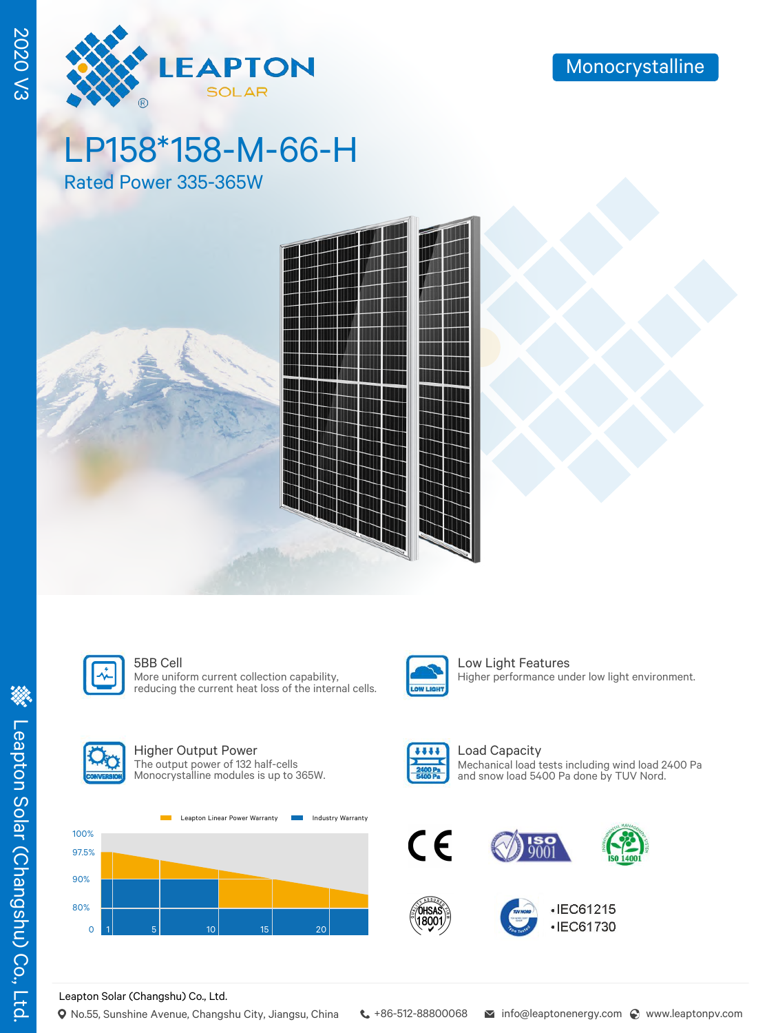

2020 V3

**2020 V3** 

LP158\*158-M-66-H

Rated Power 335-365W





More uniform current collection capability, reducing the current heat loss of the internal cells.



**5BB Cell** Low Light Features Higher performance under low light environment.



### Higher Output Power The output power of 132 half-cells

Monocrystalline modules is up to 365W.





Load Capacity Mechanical load tests including wind load 2400 Pa and snow load 5400 Pa done by TUV Nord.